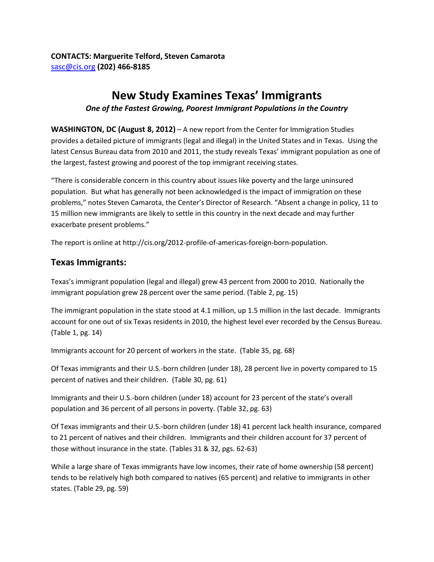# **New Study Examines Texas' Immigrants**

#### *One of the Fastest Growing, Poorest Immigrant Populations in the Country*

**WASHINGTON, DC (August 8, 2012)** – A new report from the Center for Immigration Studies provides a detailed picture of immigrants (legal and illegal) in the United States and in Texas. Using the latest Census Bureau data from 2010 and 2011, the study reveals Texas' immigrant population as one of the largest, fastest growing and poorest of the top immigrant receiving states.

"There is considerable concern in this country about issues like poverty and the large uninsured population. But what has generally not been acknowledged is the impact of immigration on these problems," notes Steven Camarota, the Center's Director of Research. "Absent a change in policy, 11 to 15 million new immigrants are likely to settle in this country in the next decade and may further exacerbate present problems."

The report is online at http://cis.org/2012-profile-of-americas-foreign-born-population.

### **Texas Immigrants:**

Texas's immigrant population (legal and illegal) grew 43 percent from 2000 to 2010. Nationally the immigrant population grew 28 percent over the same period. (Table 2, pg. 15)

The immigrant population in the state stood at 4.1 million, up 1.5 million in the last decade. Immigrants account for one out of six Texas residents in 2010, the highest level ever recorded by the Census Bureau. (Table 1, pg. 14)

Immigrants account for 20 percent of workers in the state. (Table 35, pg. 68)

Of Texas immigrants and their U.S.-born children (under 18), 28 percent live in poverty compared to 15 percent of natives and their children. (Table 30, pg. 61)

Immigrants and their U.S.-born children (under 18) account for 23 percent of the state's overall population and 36 percent of all persons in poverty. (Table 32, pg. 63)

Of Texas immigrants and their U.S.-born children (under 18) 41 percent lack health insurance, compared to 21 percent of natives and their children. Immigrants and their children account for 37 percent of those without insurance in the state. (Tables 31 & 32, pgs. 62-63)

While a large share of Texas immigrants have low incomes, their rate of home ownership (58 percent) tends to be relatively high both compared to natives (65 percent) and relative to immigrants in other states. (Table 29, pg. 59)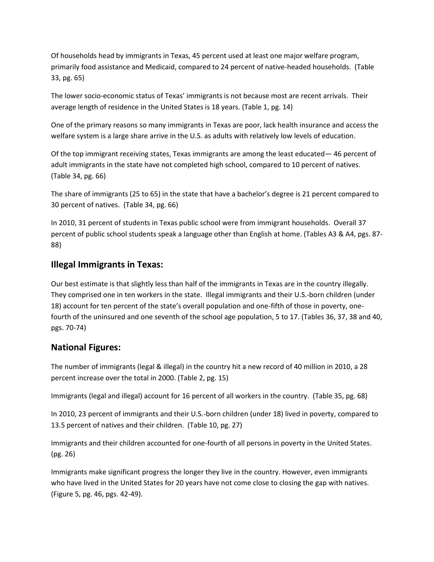Of households head by immigrants in Texas, 45 percent used at least one major welfare program, primarily food assistance and Medicaid, compared to 24 percent of native-headed households. (Table 33, pg. 65)

The lower socio-economic status of Texas' immigrants is not because most are recent arrivals. Their average length of residence in the United States is 18 years. (Table 1, pg. 14)

One of the primary reasons so many immigrants in Texas are poor, lack health insurance and access the welfare system is a large share arrive in the U.S. as adults with relatively low levels of education.

Of the top immigrant receiving states, Texas immigrants are among the least educated— 46 percent of adult immigrants in the state have not completed high school, compared to 10 percent of natives. (Table 34, pg. 66)

The share of immigrants (25 to 65) in the state that have a bachelor's degree is 21 percent compared to 30 percent of natives. (Table 34, pg. 66)

In 2010, 31 percent of students in Texas public school were from immigrant households. Overall 37 percent of public school students speak a language other than English at home. (Tables A3 & A4, pgs. 87- 88)

## **Illegal Immigrants in Texas:**

Our best estimate is that slightly less than half of the immigrants in Texas are in the country illegally. They comprised one in ten workers in the state. Illegal immigrants and their U.S.-born children (under 18) account for ten percent of the state's overall population and one-fifth of those in poverty, onefourth of the uninsured and one seventh of the school age population, 5 to 17. (Tables 36, 37, 38 and 40, pgs. 70-74)

### **National Figures:**

The number of immigrants (legal & illegal) in the country hit a new record of 40 million in 2010, a 28 percent increase over the total in 2000. (Table 2, pg. 15)

Immigrants (legal and illegal) account for 16 percent of all workers in the country. (Table 35, pg. 68)

In 2010, 23 percent of immigrants and their U.S.-born children (under 18) lived in poverty, compared to 13.5 percent of natives and their children. (Table 10, pg. 27)

Immigrants and their children accounted for one-fourth of all persons in poverty in the United States. (pg. 26)

Immigrants make significant progress the longer they live in the country. However, even immigrants who have lived in the United States for 20 years have not come close to closing the gap with natives. (Figure 5, pg. 46, pgs. 42-49).